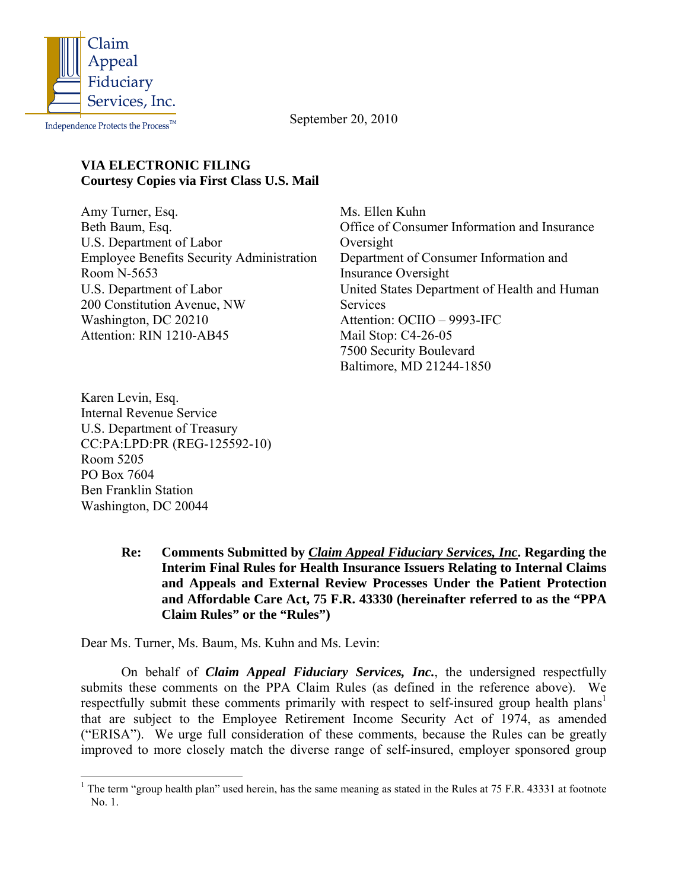

Independence Protects the  $\mathsf{Process}^{\mathbbm{TM}}$ 

September 20, 2010

### **VIA ELECTRONIC FILING Courtesy Copies via First Class U.S. Mail**

Amy Turner, Esq. Beth Baum, Esq. U.S. Department of Labor Employee Benefits Security Administration Room N-5653 U.S. Department of Labor 200 Constitution Avenue, NW Washington, DC 20210 Attention: RIN 1210-AB45

Ms. Ellen Kuhn Office of Consumer Information and Insurance Oversight Department of Consumer Information and Insurance Oversight United States Department of Health and Human **Services** Attention: OCIIO – 9993-IFC Mail Stop: C4-26-05 7500 Security Boulevard Baltimore, MD 21244-1850

Karen Levin, Esq. Internal Revenue Service U.S. Department of Treasury CC:PA:LPD:PR (REG-125592-10) Room 5205 PO Box 7604 Ben Franklin Station Washington, DC 20044

> **Re: Comments Submitted by** *Claim Appeal Fiduciary Services, Inc***. Regarding the Interim Final Rules for Health Insurance Issuers Relating to Internal Claims and Appeals and External Review Processes Under the Patient Protection and Affordable Care Act, 75 F.R. 43330 (hereinafter referred to as the "PPA Claim Rules" or the "Rules")**

Dear Ms. Turner, Ms. Baum, Ms. Kuhn and Ms. Levin:

On behalf of *Claim Appeal Fiduciary Services, Inc.*, the undersigned respectfully submits these comments on the PPA Claim Rules (as defined in the reference above). We respectfully submit these comments primarily with respect to self-insured group health plans<sup>1</sup> that are subject to the Employee Retirement Income Security Act of 1974, as amended ("ERISA"). We urge full consideration of these comments, because the Rules can be greatly improved to more closely match the diverse range of self-insured, employer sponsored group

<span id="page-0-0"></span><sup>&</sup>lt;sup>1</sup> The term "group health plan" used herein, has the same meaning as stated in the Rules at 75 F.R. 43331 at footnote No. 1.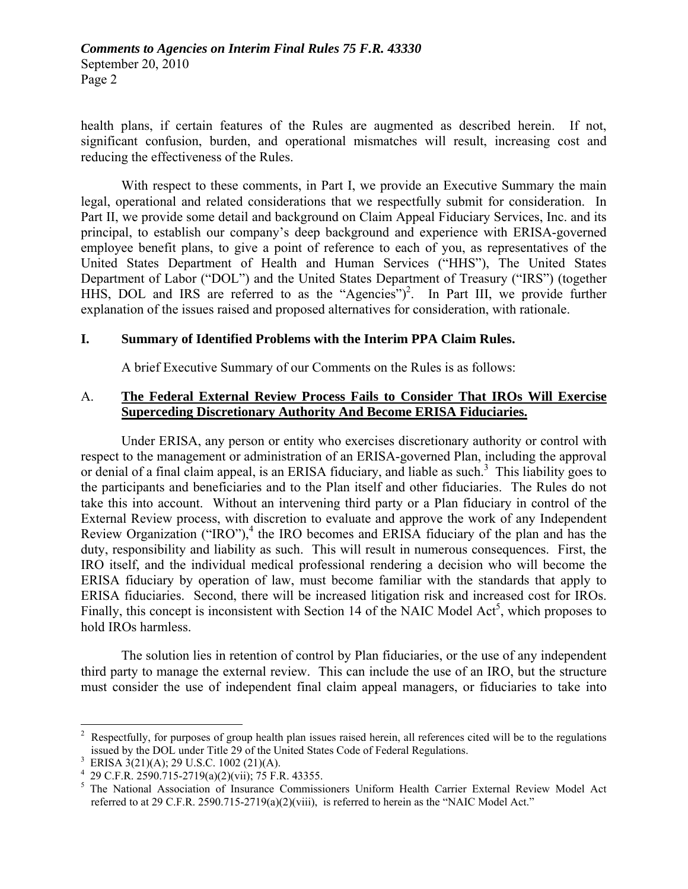health plans, if certain features of the Rules are augmented as described herein. If not, significant confusion, burden, and operational mismatches will result, increasing cost and reducing the effectiveness of the Rules.

With respect to these comments, in Part I, we provide an Executive Summary the main legal, operational and related considerations that we respectfully submit for consideration. In Part II, we provide some detail and background on Claim Appeal Fiduciary Services, Inc. and its principal, to establish our company's deep background and experience with ERISA-governed employee benefit plans, to give a point of reference to each of you, as representatives of the United States Department of Health and Human Services ("HHS"), The United States Department of Labor ("DOL") and the United States Department of Treasury ("IRS") (together HHS, DOL and IRS are referred to as the "Agencies")<sup>[2](#page-1-0)</sup>. In Part III, we provide further explanation of the issues raised and proposed alternatives for consideration, with rationale.

### **I. Summary of Identified Problems with the Interim PPA Claim Rules.**

A brief Executive Summary of our Comments on the Rules is as follows:

## A. **The Federal External Review Process Fails to Consider That IROs Will Exercise Superceding Discretionary Authority And Become ERISA Fiduciaries.**

Under ERISA, any person or entity who exercises discretionary authority or control with respect to the management or administration of an ERISA-governed Plan, including the approval or denial of a final claim appeal, is an ERISA fiduciary, and liable as such.<sup>[3](#page-1-1)</sup> This liability goes to the participants and beneficiaries and to the Plan itself and other fiduciaries. The Rules do not take this into account. Without an intervening third party or a Plan fiduciary in control of the External Review process, with discretion to evaluate and approve the work of any Independent Review Organization ("IRO"), $<sup>4</sup>$  $<sup>4</sup>$  $<sup>4</sup>$  the IRO becomes and ERISA fiduciary of the plan and has the</sup> duty, responsibility and liability as such. This will result in numerous consequences. First, the IRO itself, and the individual medical professional rendering a decision who will become the ERISA fiduciary by operation of law, must become familiar with the standards that apply to ERISA fiduciaries. Second, there will be increased litigation risk and increased cost for IROs. Finally, this concept is inconsistent with Section 14 of the NAIC Model  $Act^5$  $Act^5$ , which proposes to hold IROs harmless.

The solution lies in retention of control by Plan fiduciaries, or the use of any independent third party to manage the external review. This can include the use of an IRO, but the structure must consider the use of independent final claim appeal managers, or fiduciaries to take into

<span id="page-1-0"></span><sup>1</sup> 2 Respectfully, for purposes of group health plan issues raised herein, all references cited will be to the regulations issued by the DOL under Title 29 of the United States Code of Federal Regulations. 3

<span id="page-1-1"></span>ERISA 3(21)(A); 29 U.S.C. 1002 (21)(A).

<span id="page-1-2"></span><sup>4</sup> 29 C.F.R. 2590.715-2719(a)(2)(vii); 75 F.R. 43355.

<span id="page-1-3"></span><sup>&</sup>lt;sup>5</sup> The National Association of Insurance Commissioners Uniform Health Carrier External Review Model Act referred to at 29 C.F.R. 2590.715-2719(a)(2)(viii), is referred to herein as the "NAIC Model Act."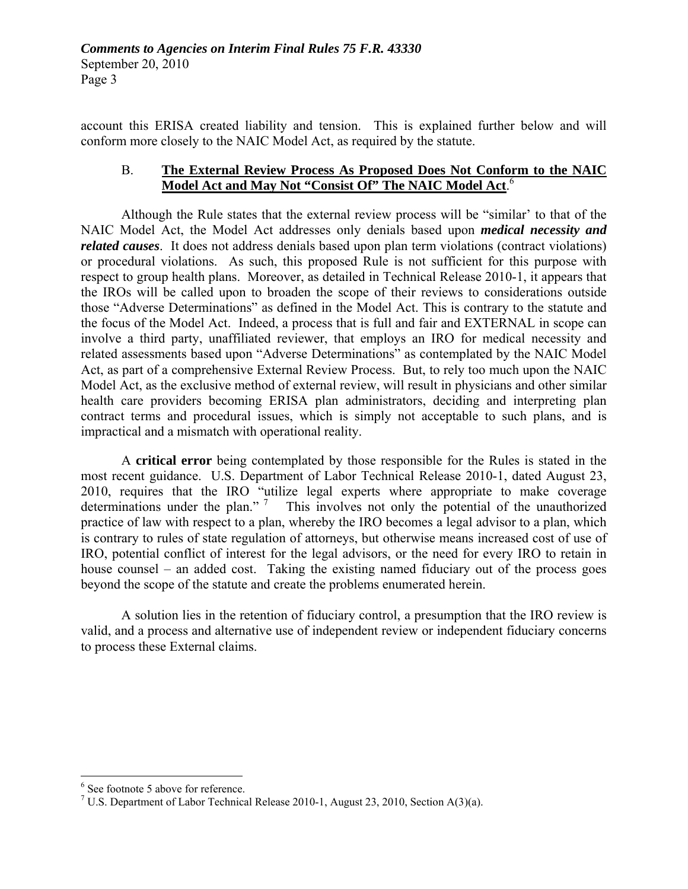account this ERISA created liability and tension. This is explained further below and will conform more closely to the NAIC Model Act, as required by the statute.

## B. **The External Review Process As Proposed Does Not Conform to the NAIC Model Act and May Not "Consist Of" The NAIC Model Act**. [6](#page-2-0)

Although the Rule states that the external review process will be "similar' to that of the NAIC Model Act, the Model Act addresses only denials based upon *medical necessity and related causes*. It does not address denials based upon plan term violations (contract violations) or procedural violations. As such, this proposed Rule is not sufficient for this purpose with respect to group health plans. Moreover, as detailed in Technical Release 2010-1, it appears that the IROs will be called upon to broaden the scope of their reviews to considerations outside those "Adverse Determinations" as defined in the Model Act. This is contrary to the statute and the focus of the Model Act. Indeed, a process that is full and fair and EXTERNAL in scope can involve a third party, unaffiliated reviewer, that employs an IRO for medical necessity and related assessments based upon "Adverse Determinations" as contemplated by the NAIC Model Act, as part of a comprehensive External Review Process. But, to rely too much upon the NAIC Model Act, as the exclusive method of external review, will result in physicians and other similar health care providers becoming ERISA plan administrators, deciding and interpreting plan contract terms and procedural issues, which is simply not acceptable to such plans, and is impractical and a mismatch with operational reality.

 A **critical error** being contemplated by those responsible for the Rules is stated in the most recent guidance. U.S. Department of Labor Technical Release 2010-1, dated August 23, 2010, requires that the IRO "utilize legal experts where appropriate to make coverage determinations under the plan."  $\frac{7}{1}$  This involves not only the potential of the unauthorized practice of law with respect to a plan, whereby the IRO becomes a legal advisor to a plan, which is contrary to rules of state regulation of attorneys, but otherwise means increased cost of use of IRO, potential conflict of interest for the legal advisors, or the need for every IRO to retain in house counsel – an added cost. Taking the existing named fiduciary out of the process goes beyond the scope of the statute and create the problems enumerated herein.

A solution lies in the retention of fiduciary control, a presumption that the IRO review is valid, and a process and alternative use of independent review or independent fiduciary concerns to process these External claims.

1

<span id="page-2-0"></span><sup>6</sup> See footnote 5 above for reference.

<span id="page-2-1"></span><sup>&</sup>lt;sup>7</sup> U.S. Department of Labor Technical Release 2010-1, August 23, 2010, Section A(3)(a).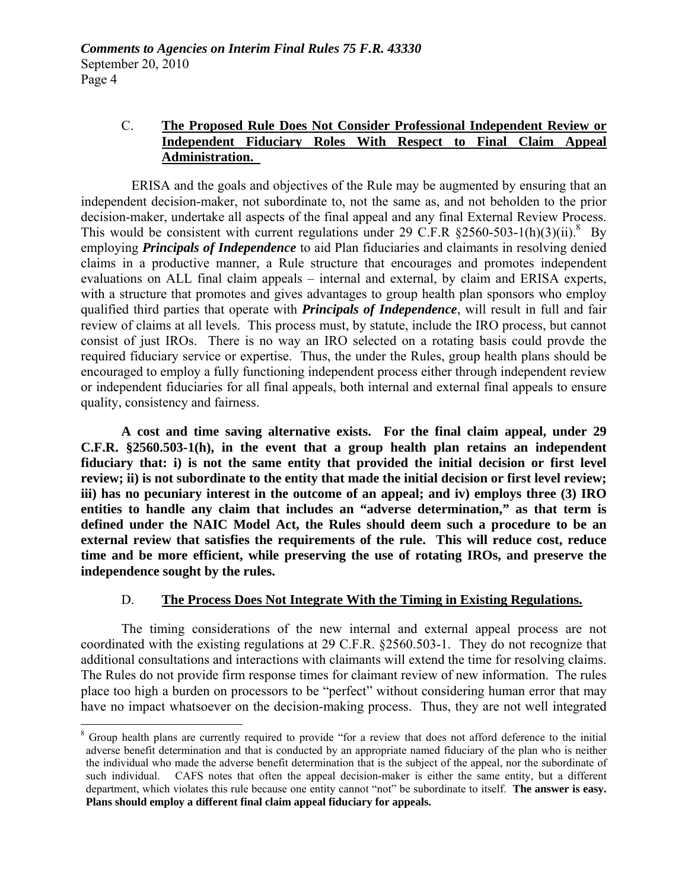## C. **The Proposed Rule Does Not Consider Professional Independent Review or Independent Fiduciary Roles With Respect to Final Claim Appeal Administration.**

 ERISA and the goals and objectives of the Rule may be augmented by ensuring that an independent decision-maker, not subordinate to, not the same as, and not beholden to the prior decision-maker, undertake all aspects of the final appeal and any final External Review Process. This would be consistent with current regulations under 29 C.F.R  $\S 2560-503-1(h)(3)(ii)$ .<sup>[8](#page-3-0)</sup> By employing *Principals of Independence* to aid Plan fiduciaries and claimants in resolving denied claims in a productive manner, a Rule structure that encourages and promotes independent evaluations on ALL final claim appeals – internal and external, by claim and ERISA experts, with a structure that promotes and gives advantages to group health plan sponsors who employ qualified third parties that operate with *Principals of Independence*, will result in full and fair review of claims at all levels. This process must, by statute, include the IRO process, but cannot consist of just IROs. There is no way an IRO selected on a rotating basis could provde the required fiduciary service or expertise. Thus, the under the Rules, group health plans should be encouraged to employ a fully functioning independent process either through independent review or independent fiduciaries for all final appeals, both internal and external final appeals to ensure quality, consistency and fairness.

**A cost and time saving alternative exists. For the final claim appeal, under 29 C.F.R. §2560.503-1(h), in the event that a group health plan retains an independent fiduciary that: i) is not the same entity that provided the initial decision or first level review; ii) is not subordinate to the entity that made the initial decision or first level review; iii) has no pecuniary interest in the outcome of an appeal; and iv) employs three (3) IRO entities to handle any claim that includes an "adverse determination," as that term is defined under the NAIC Model Act, the Rules should deem such a procedure to be an external review that satisfies the requirements of the rule. This will reduce cost, reduce time and be more efficient, while preserving the use of rotating IROs, and preserve the independence sought by the rules.** 

### D. **The Process Does Not Integrate With the Timing in Existing Regulations.**

The timing considerations of the new internal and external appeal process are not coordinated with the existing regulations at 29 C.F.R. §2560.503-1. They do not recognize that additional consultations and interactions with claimants will extend the time for resolving claims. The Rules do not provide firm response times for claimant review of new information. The rules place too high a burden on processors to be "perfect" without considering human error that may have no impact whatsoever on the decision-making process. Thus, they are not well integrated

 $\overline{a}$ 

<span id="page-3-0"></span><sup>&</sup>lt;sup>8</sup> Group health plans are currently required to provide "for a review that does not afford deference to the initial adverse benefit determination and that is conducted by an appropriate named fiduciary of the plan who is neither the individual who made the adverse benefit determination that is the subject of the appeal, nor the subordinate of such individual. CAFS notes that often the appeal decision-maker is either the same entity, but a different department, which violates this rule because one entity cannot "not" be subordinate to itself. **The answer is easy. Plans should employ a different final claim appeal fiduciary for appeals.**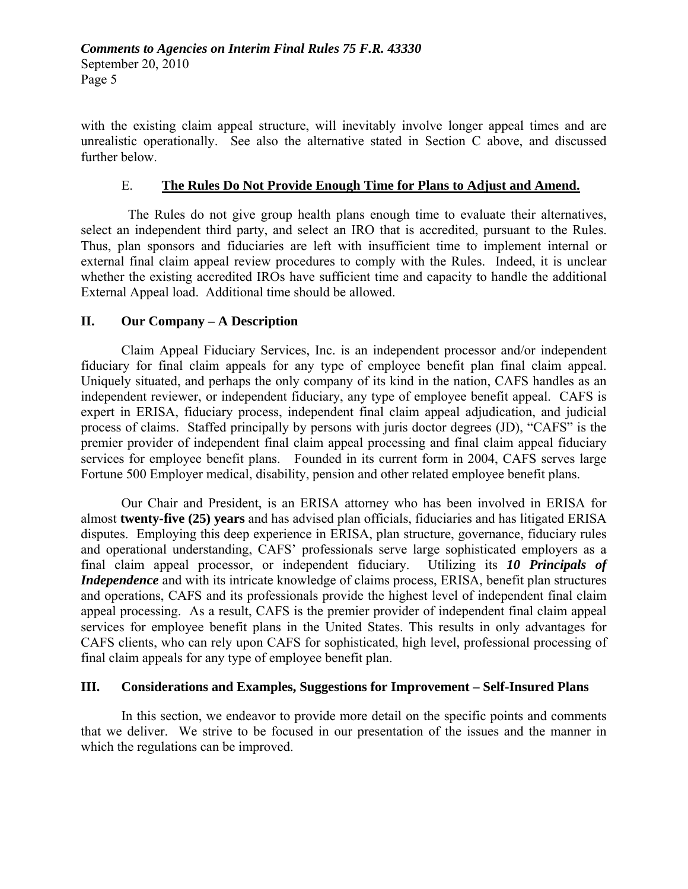with the existing claim appeal structure, will inevitably involve longer appeal times and are unrealistic operationally. See also the alternative stated in Section C above, and discussed further below.

## E. **The Rules Do Not Provide Enough Time for Plans to Adjust and Amend.**

 The Rules do not give group health plans enough time to evaluate their alternatives, select an independent third party, and select an IRO that is accredited, pursuant to the Rules. Thus, plan sponsors and fiduciaries are left with insufficient time to implement internal or external final claim appeal review procedures to comply with the Rules. Indeed, it is unclear whether the existing accredited IROs have sufficient time and capacity to handle the additional External Appeal load. Additional time should be allowed.

## **II. Our Company – A Description**

 Claim Appeal Fiduciary Services, Inc. is an independent processor and/or independent fiduciary for final claim appeals for any type of employee benefit plan final claim appeal. Uniquely situated, and perhaps the only company of its kind in the nation, CAFS handles as an independent reviewer, or independent fiduciary, any type of employee benefit appeal. CAFS is expert in ERISA, fiduciary process, independent final claim appeal adjudication, and judicial process of claims. Staffed principally by persons with juris doctor degrees (JD), "CAFS" is the premier provider of independent final claim appeal processing and final claim appeal fiduciary services for employee benefit plans. Founded in its current form in 2004, CAFS serves large Fortune 500 Employer medical, disability, pension and other related employee benefit plans.

 Our Chair and President, is an ERISA attorney who has been involved in ERISA for almost **twenty-five (25) years** and has advised plan officials, fiduciaries and has litigated ERISA disputes. Employing this deep experience in ERISA, plan structure, governance, fiduciary rules and operational understanding, CAFS' professionals serve large sophisticated employers as a final claim appeal processor, or independent fiduciary. Utilizing its *10 Principals of Independence* and with its intricate knowledge of claims process, ERISA, benefit plan structures and operations, CAFS and its professionals provide the highest level of independent final claim appeal processing. As a result, CAFS is the premier provider of independent final claim appeal services for employee benefit plans in the United States. This results in only advantages for CAFS clients, who can rely upon CAFS for sophisticated, high level, professional processing of final claim appeals for any type of employee benefit plan.

### **III. Considerations and Examples, Suggestions for Improvement – Self-Insured Plans**

In this section, we endeavor to provide more detail on the specific points and comments that we deliver. We strive to be focused in our presentation of the issues and the manner in which the regulations can be improved.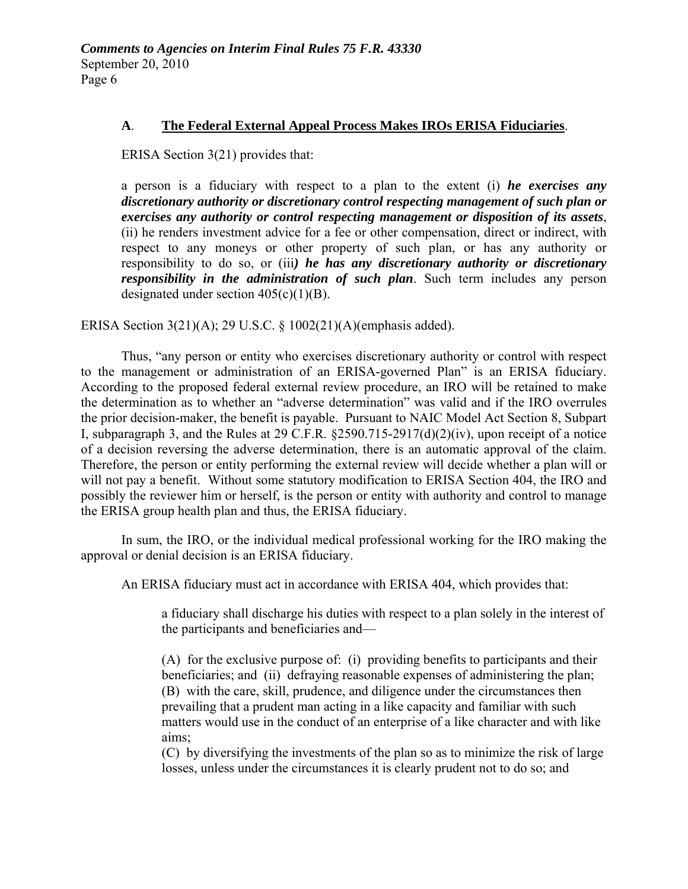## **A**. **The Federal External Appeal Process Makes IROs ERISA Fiduciaries**.

ERISA Section 3(21) provides that:

a person is a fiduciary with respect to a plan to the extent (i) *he exercises any discretionary authority or discretionary control respecting management of such plan or exercises any authority or control respecting management or disposition of its assets*, (ii) he renders investment advice for a fee or other compensation, direct or indirect, with respect to any moneys or other property of such plan, or has any authority or responsibility to do so, or (iii*) he has any discretionary authority or discretionary responsibility in the administration of such plan*. Such term includes any person designated under section  $405(c)(1)(B)$ .

ERISA Section 3(21)(A); 29 U.S.C. § 1002(21)(A)(emphasis added).

Thus, "any person or entity who exercises discretionary authority or control with respect to the management or administration of an ERISA-governed Plan" is an ERISA fiduciary. According to the proposed federal external review procedure, an IRO will be retained to make the determination as to whether an "adverse determination" was valid and if the IRO overrules the prior decision-maker, the benefit is payable. Pursuant to NAIC Model Act Section 8, Subpart I, subparagraph 3, and the Rules at 29 C.F.R. §2590.715-2917(d)(2)(iv), upon receipt of a notice of a decision reversing the adverse determination, there is an automatic approval of the claim. Therefore, the person or entity performing the external review will decide whether a plan will or will not pay a benefit. Without some statutory modification to ERISA Section 404, the IRO and possibly the reviewer him or herself, is the person or entity with authority and control to manage the ERISA group health plan and thus, the ERISA fiduciary.

In sum, the IRO, or the individual medical professional working for the IRO making the approval or denial decision is an ERISA fiduciary.

An ERISA fiduciary must act in accordance with ERISA 404, which provides that:

a fiduciary shall discharge his duties with respect to a plan solely in the interest of the participants and beneficiaries and—

(A) for the exclusive purpose of: (i) providing benefits to participants and their beneficiaries; and (ii) defraying reasonable expenses of administering the plan; (B) with the care, skill, prudence, and diligence under the circumstances then prevailing that a prudent man acting in a like capacity and familiar with such matters would use in the conduct of an enterprise of a like character and with like aims;

(C) by diversifying the investments of the plan so as to minimize the risk of large losses, unless under the circumstances it is clearly prudent not to do so; and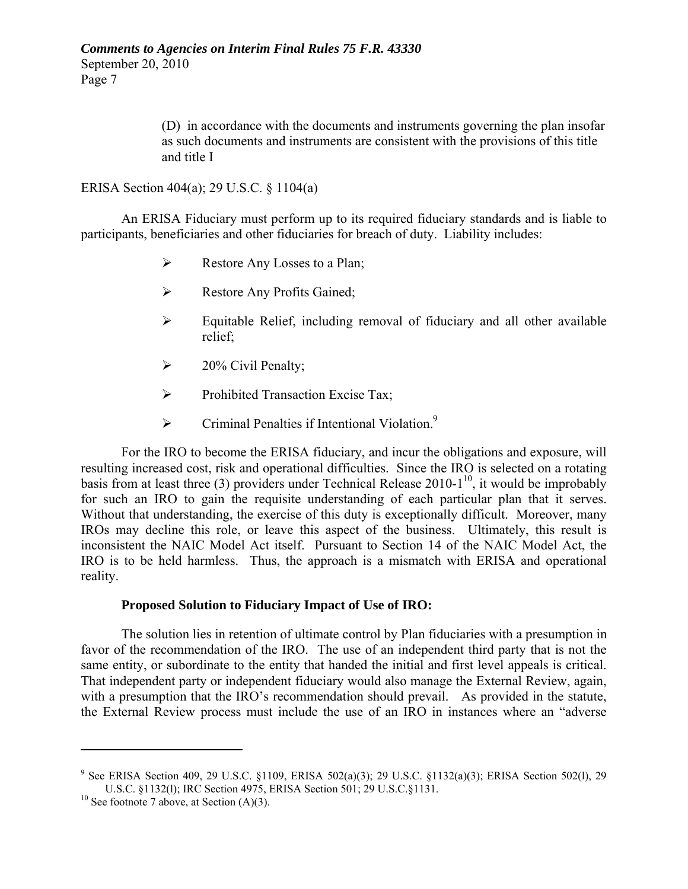(D) in accordance with the documents and instruments governing the plan insofar as such documents and instruments are consistent with the provisions of this title and title I

ERISA Section 404(a); 29 U.S.C. § 1104(a)

An ERISA Fiduciary must perform up to its required fiduciary standards and is liable to participants, beneficiaries and other fiduciaries for breach of duty. Liability includes:

- $\triangleright$  Restore Any Losses to a Plan;
- ¾ Restore Any Profits Gained;
- $\triangleright$  Equitable Relief, including removal of fiduciary and all other available relief;
- $\geq$  20% Civil Penalty;
- ¾ Prohibited Transaction Excise Tax;
- $\triangleright$  Criminal Penalties if Intentional Violation.<sup>[9](#page-6-0)</sup>

For the IRO to become the ERISA fiduciary, and incur the obligations and exposure, will resulting increased cost, risk and operational difficulties. Since the IRO is selected on a rotating basis from at least three (3) providers under Technical Release  $2010-1^{10}$ , it would be improbably for such an IRO to gain the requisite understanding of each particular plan that it serves. Without that understanding, the exercise of this duty is exceptionally difficult. Moreover, many IROs may decline this role, or leave this aspect of the business. Ultimately, this result is inconsistent the NAIC Model Act itself. Pursuant to Section 14 of the NAIC Model Act, the IRO is to be held harmless. Thus, the approach is a mismatch with ERISA and operational reality.

## **Proposed Solution to Fiduciary Impact of Use of IRO:**

The solution lies in retention of ultimate control by Plan fiduciaries with a presumption in favor of the recommendation of the IRO. The use of an independent third party that is not the same entity, or subordinate to the entity that handed the initial and first level appeals is critical. That independent party or independent fiduciary would also manage the External Review, again, with a presumption that the IRO's recommendation should prevail. As provided in the statute, the External Review process must include the use of an IRO in instances where an "adverse

1

<span id="page-6-0"></span><sup>&</sup>lt;sup>9</sup> See ERISA Section 409, 29 U.S.C. §1109, ERISA 502(a)(3); 29 U.S.C. §1132(a)(3); ERISA Section 502(l), 29 U.S.C. §1132(l); IRC Section 4975, ERISA Section 501; 29 U.S.C.§1131. <sup>10</sup> See footnote 7 above, at Section (A)(3).

<span id="page-6-1"></span>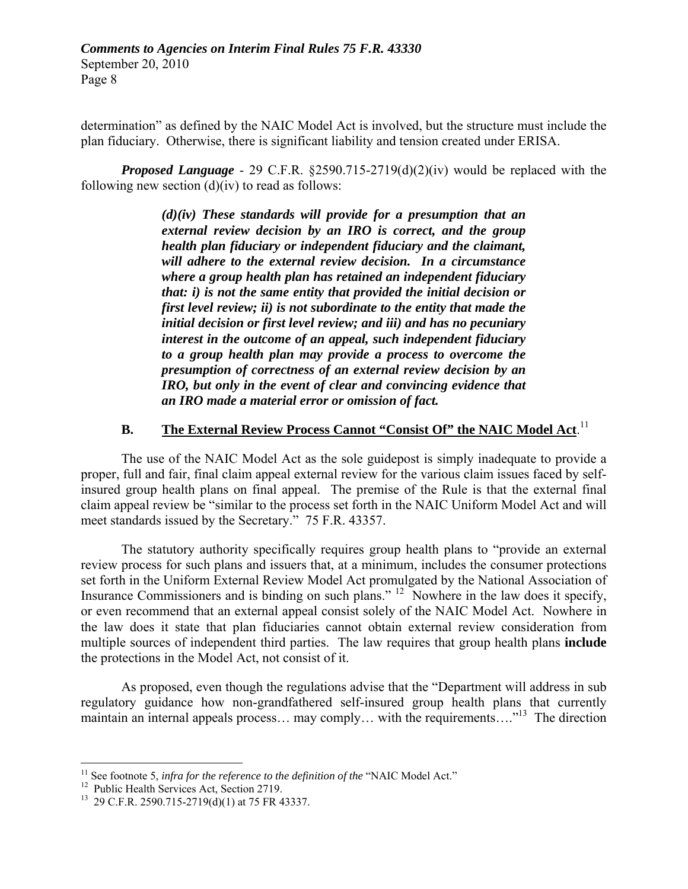determination" as defined by the NAIC Model Act is involved, but the structure must include the plan fiduciary. Otherwise, there is significant liability and tension created under ERISA.

*Proposed Language* - 29 C.F.R. §2590.715-2719(d)(2)(iv) would be replaced with the following new section  $(d)(iv)$  to read as follows:

> *(d)(iv) These standards will provide for a presumption that an external review decision by an IRO is correct, and the group health plan fiduciary or independent fiduciary and the claimant, will adhere to the external review decision. In a circumstance where a group health plan has retained an independent fiduciary that: i) is not the same entity that provided the initial decision or first level review; ii) is not subordinate to the entity that made the initial decision or first level review; and iii) and has no pecuniary interest in the outcome of an appeal, such independent fiduciary to a group health plan may provide a process to overcome the presumption of correctness of an external review decision by an IRO, but only in the event of clear and convincing evidence that an IRO made a material error or omission of fact.*

# **B.** The External Review Process Cannot "Consist Of" the NAIC Model Act.<sup>11</sup>

The use of the NAIC Model Act as the sole guidepost is simply inadequate to provide a proper, full and fair, final claim appeal external review for the various claim issues faced by selfinsured group health plans on final appeal. The premise of the Rule is that the external final claim appeal review be "similar to the process set forth in the NAIC Uniform Model Act and will meet standards issued by the Secretary." 75 F.R. 43357.

The statutory authority specifically requires group health plans to "provide an external review process for such plans and issuers that, at a minimum, includes the consumer protections set forth in the Uniform External Review Model Act promulgated by the National Association of Insurance Commissioners and is binding on such plans." <sup>12</sup> Nowhere in the law does it specify, or even recommend that an external appeal consist solely of the NAIC Model Act. Nowhere in the law does it state that plan fiduciaries cannot obtain external review consideration from multiple sources of independent third parties. The law requires that group health plans **include** the protections in the Model Act, not consist of it.

As proposed, even though the regulations advise that the "Department will address in sub regulatory guidance how non-grandfathered self-insured group health plans that currently maintain an internal appeals process... may comply... with the requirements...."<sup>13</sup> The direction

 $\overline{a}$ 

<span id="page-7-0"></span><sup>&</sup>lt;sup>11</sup> See footnote 5, *infra for the reference to the definition of the* "NAIC Model Act."<br><sup>12</sup> Public Health Services Act, Section 2719.

<span id="page-7-1"></span>

<span id="page-7-2"></span> $13$  29 C.F.R. 2590.715-2719(d)(1) at 75 FR 43337.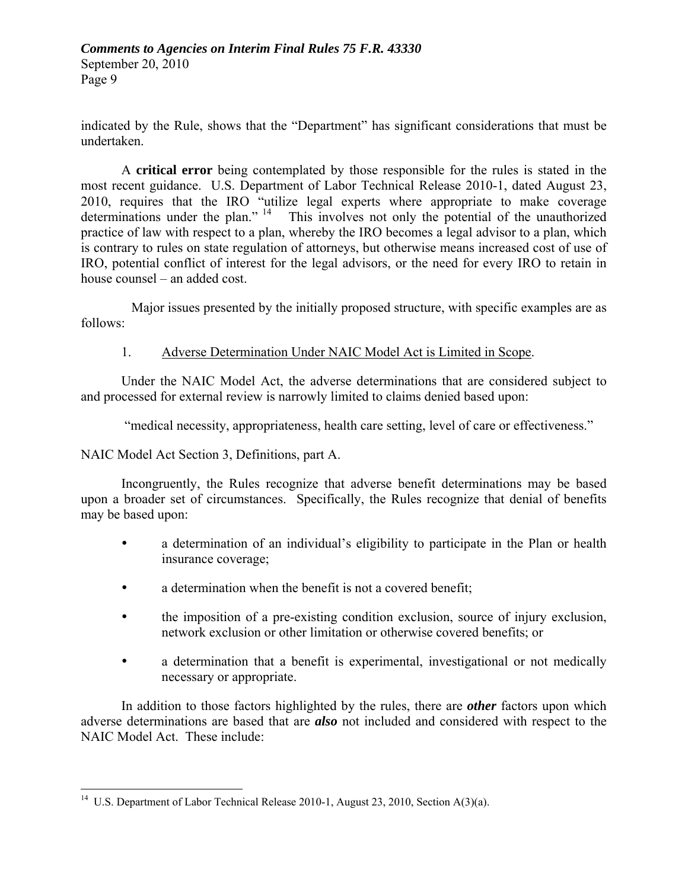indicated by the Rule, shows that the "Department" has significant considerations that must be undertaken.

A **critical error** being contemplated by those responsible for the rules is stated in the most recent guidance. U.S. Department of Labor Technical Release 2010-1, dated August 23, 2010, requires that the IRO "utilize legal experts where appropriate to make coverage determinations under the plan."<sup>14</sup> This involves not only the potential of the unauthorized practice of law with respect to a plan, whereby the IRO becomes a legal advisor to a plan, which is contrary to rules on state regulation of attorneys, but otherwise means increased cost of use of IRO, potential conflict of interest for the legal advisors, or the need for every IRO to retain in house counsel – an added cost.

 Major issues presented by the initially proposed structure, with specific examples are as follows:

## 1. Adverse Determination Under NAIC Model Act is Limited in Scope.

Under the NAIC Model Act, the adverse determinations that are considered subject to and processed for external review is narrowly limited to claims denied based upon:

"medical necessity, appropriateness, health care setting, level of care or effectiveness."

NAIC Model Act Section 3, Definitions, part A.

<u>.</u>

Incongruently, the Rules recognize that adverse benefit determinations may be based upon a broader set of circumstances. Specifically, the Rules recognize that denial of benefits may be based upon:

- a determination of an individual's eligibility to participate in the Plan or health insurance coverage;
- a determination when the benefit is not a covered benefit;
- the imposition of a pre-existing condition exclusion, source of injury exclusion, network exclusion or other limitation or otherwise covered benefits; or
- a determination that a benefit is experimental, investigational or not medically necessary or appropriate.

In addition to those factors highlighted by the rules, there are *other* factors upon which adverse determinations are based that are *also* not included and considered with respect to the NAIC Model Act. These include:

<span id="page-8-0"></span><sup>&</sup>lt;sup>14</sup> U.S. Department of Labor Technical Release 2010-1, August 23, 2010, Section A(3)(a).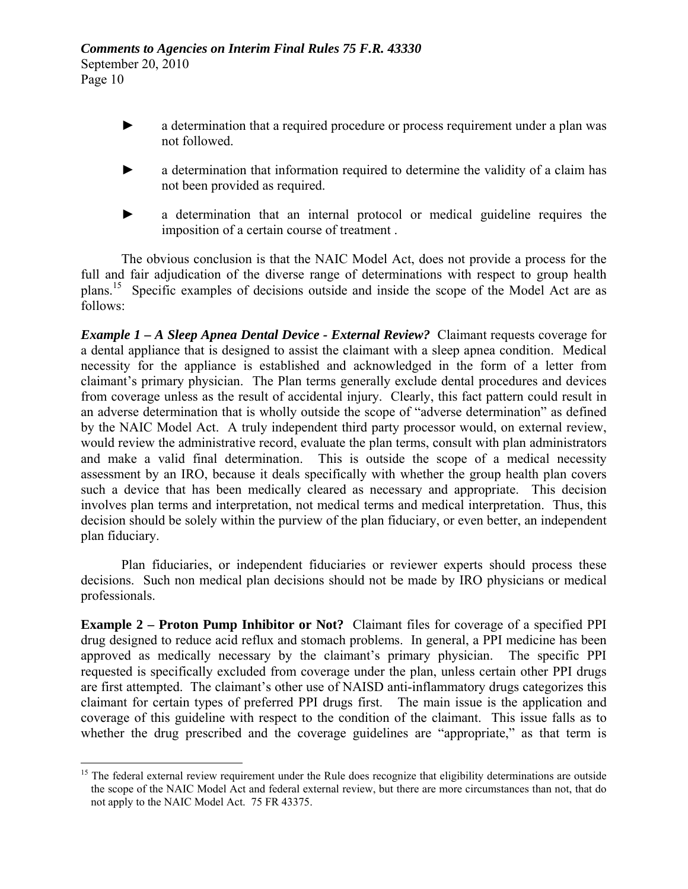- a determination that a required procedure or process requirement under a plan was not followed.
- a determination that information required to determine the validity of a claim has not been provided as required.
- a determination that an internal protocol or medical guideline requires the imposition of a certain course of treatment .

The obvious conclusion is that the NAIC Model Act, does not provide a process for the full and fair adjudication of the diverse range of determinations with respect to group health plans.[15](#page-9-0) Specific examples of decisions outside and inside the scope of the Model Act are as follows:

*Example 1 – A Sleep Apnea Dental Device - External Review?* Claimant requests coverage for a dental appliance that is designed to assist the claimant with a sleep apnea condition. Medical necessity for the appliance is established and acknowledged in the form of a letter from claimant's primary physician. The Plan terms generally exclude dental procedures and devices from coverage unless as the result of accidental injury. Clearly, this fact pattern could result in an adverse determination that is wholly outside the scope of "adverse determination" as defined by the NAIC Model Act. A truly independent third party processor would, on external review, would review the administrative record, evaluate the plan terms, consult with plan administrators and make a valid final determination. This is outside the scope of a medical necessity assessment by an IRO, because it deals specifically with whether the group health plan covers such a device that has been medically cleared as necessary and appropriate. This decision involves plan terms and interpretation, not medical terms and medical interpretation. Thus, this decision should be solely within the purview of the plan fiduciary, or even better, an independent plan fiduciary.

Plan fiduciaries, or independent fiduciaries or reviewer experts should process these decisions. Such non medical plan decisions should not be made by IRO physicians or medical professionals.

**Example 2 – Proton Pump Inhibitor or Not?** Claimant files for coverage of a specified PPI drug designed to reduce acid reflux and stomach problems. In general, a PPI medicine has been approved as medically necessary by the claimant's primary physician. The specific PPI requested is specifically excluded from coverage under the plan, unless certain other PPI drugs are first attempted. The claimant's other use of NAISD anti-inflammatory drugs categorizes this claimant for certain types of preferred PPI drugs first. The main issue is the application and coverage of this guideline with respect to the condition of the claimant. This issue falls as to whether the drug prescribed and the coverage guidelines are "appropriate," as that term is

<span id="page-9-0"></span> $\overline{a}$ <sup>15</sup> The federal external review requirement under the Rule does recognize that eligibility determinations are outside the scope of the NAIC Model Act and federal external review, but there are more circumstances than not, that do not apply to the NAIC Model Act. 75 FR 43375.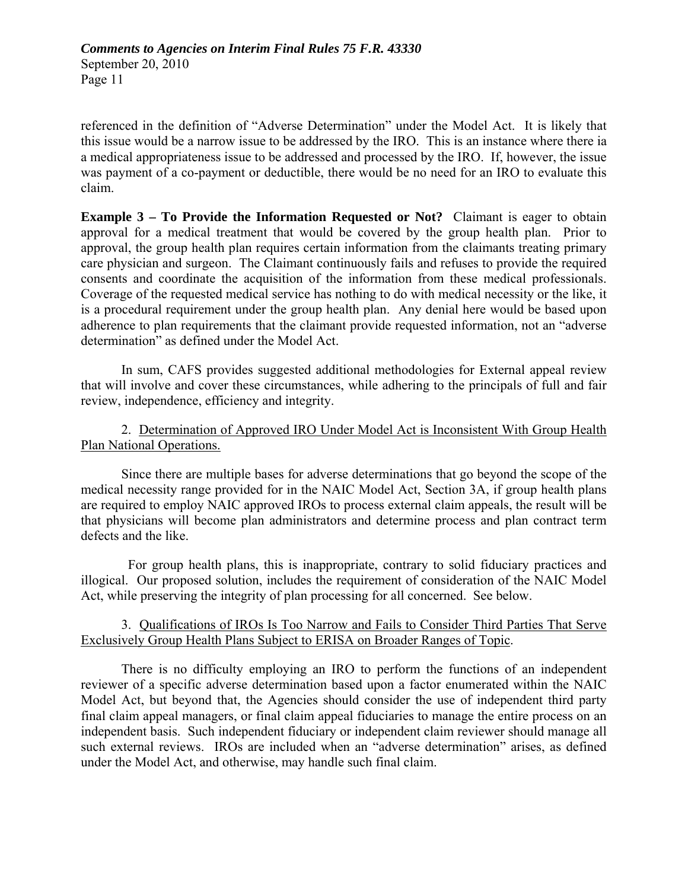referenced in the definition of "Adverse Determination" under the Model Act. It is likely that this issue would be a narrow issue to be addressed by the IRO. This is an instance where there ia a medical appropriateness issue to be addressed and processed by the IRO. If, however, the issue was payment of a co-payment or deductible, there would be no need for an IRO to evaluate this claim.

**Example 3 – To Provide the Information Requested or Not?** Claimant is eager to obtain approval for a medical treatment that would be covered by the group health plan. Prior to approval, the group health plan requires certain information from the claimants treating primary care physician and surgeon. The Claimant continuously fails and refuses to provide the required consents and coordinate the acquisition of the information from these medical professionals. Coverage of the requested medical service has nothing to do with medical necessity or the like, it is a procedural requirement under the group health plan. Any denial here would be based upon adherence to plan requirements that the claimant provide requested information, not an "adverse determination" as defined under the Model Act.

 In sum, CAFS provides suggested additional methodologies for External appeal review that will involve and cover these circumstances, while adhering to the principals of full and fair review, independence, efficiency and integrity.

## 2. Determination of Approved IRO Under Model Act is Inconsistent With Group Health Plan National Operations.

Since there are multiple bases for adverse determinations that go beyond the scope of the medical necessity range provided for in the NAIC Model Act, Section 3A, if group health plans are required to employ NAIC approved IROs to process external claim appeals, the result will be that physicians will become plan administrators and determine process and plan contract term defects and the like.

 For group health plans, this is inappropriate, contrary to solid fiduciary practices and illogical. Our proposed solution, includes the requirement of consideration of the NAIC Model Act, while preserving the integrity of plan processing for all concerned. See below.

## 3. Qualifications of IROs Is Too Narrow and Fails to Consider Third Parties That Serve Exclusively Group Health Plans Subject to ERISA on Broader Ranges of Topic.

There is no difficulty employing an IRO to perform the functions of an independent reviewer of a specific adverse determination based upon a factor enumerated within the NAIC Model Act, but beyond that, the Agencies should consider the use of independent third party final claim appeal managers, or final claim appeal fiduciaries to manage the entire process on an independent basis. Such independent fiduciary or independent claim reviewer should manage all such external reviews. IROs are included when an "adverse determination" arises, as defined under the Model Act, and otherwise, may handle such final claim.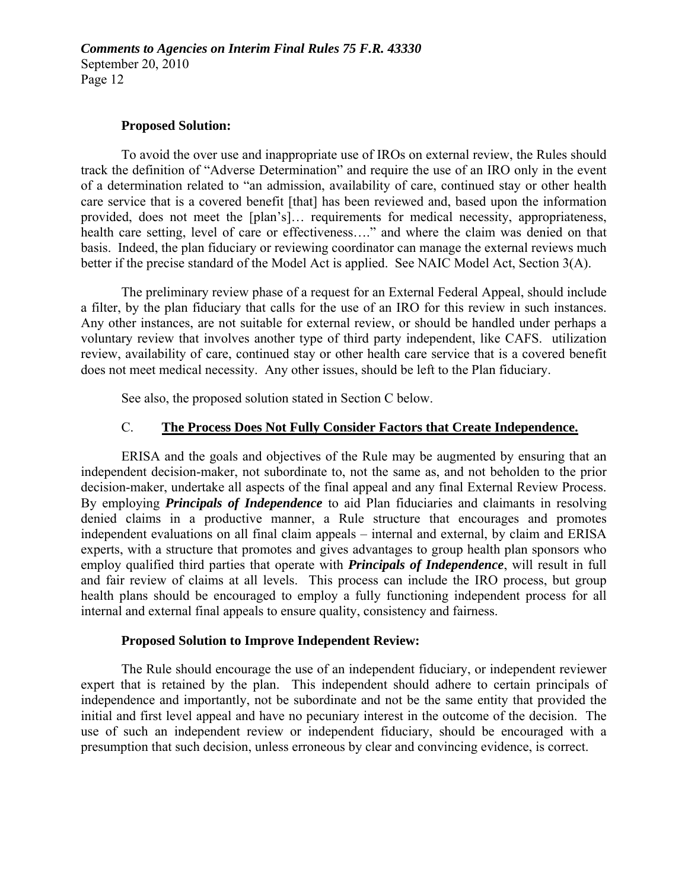#### **Proposed Solution:**

To avoid the over use and inappropriate use of IROs on external review, the Rules should track the definition of "Adverse Determination" and require the use of an IRO only in the event of a determination related to "an admission, availability of care, continued stay or other health care service that is a covered benefit [that] has been reviewed and, based upon the information provided, does not meet the [plan's]… requirements for medical necessity, appropriateness, health care setting, level of care or effectiveness…." and where the claim was denied on that basis. Indeed, the plan fiduciary or reviewing coordinator can manage the external reviews much better if the precise standard of the Model Act is applied. See NAIC Model Act, Section 3(A).

The preliminary review phase of a request for an External Federal Appeal, should include a filter, by the plan fiduciary that calls for the use of an IRO for this review in such instances. Any other instances, are not suitable for external review, or should be handled under perhaps a voluntary review that involves another type of third party independent, like CAFS. utilization review, availability of care, continued stay or other health care service that is a covered benefit does not meet medical necessity. Any other issues, should be left to the Plan fiduciary.

See also, the proposed solution stated in Section C below.

#### C. **The Process Does Not Fully Consider Factors that Create Independence.**

ERISA and the goals and objectives of the Rule may be augmented by ensuring that an independent decision-maker, not subordinate to, not the same as, and not beholden to the prior decision-maker, undertake all aspects of the final appeal and any final External Review Process. By employing *Principals of Independence* to aid Plan fiduciaries and claimants in resolving denied claims in a productive manner, a Rule structure that encourages and promotes independent evaluations on all final claim appeals – internal and external, by claim and ERISA experts, with a structure that promotes and gives advantages to group health plan sponsors who employ qualified third parties that operate with *Principals of Independence*, will result in full and fair review of claims at all levels. This process can include the IRO process, but group health plans should be encouraged to employ a fully functioning independent process for all internal and external final appeals to ensure quality, consistency and fairness.

#### **Proposed Solution to Improve Independent Review:**

The Rule should encourage the use of an independent fiduciary, or independent reviewer expert that is retained by the plan. This independent should adhere to certain principals of independence and importantly, not be subordinate and not be the same entity that provided the initial and first level appeal and have no pecuniary interest in the outcome of the decision. The use of such an independent review or independent fiduciary, should be encouraged with a presumption that such decision, unless erroneous by clear and convincing evidence, is correct.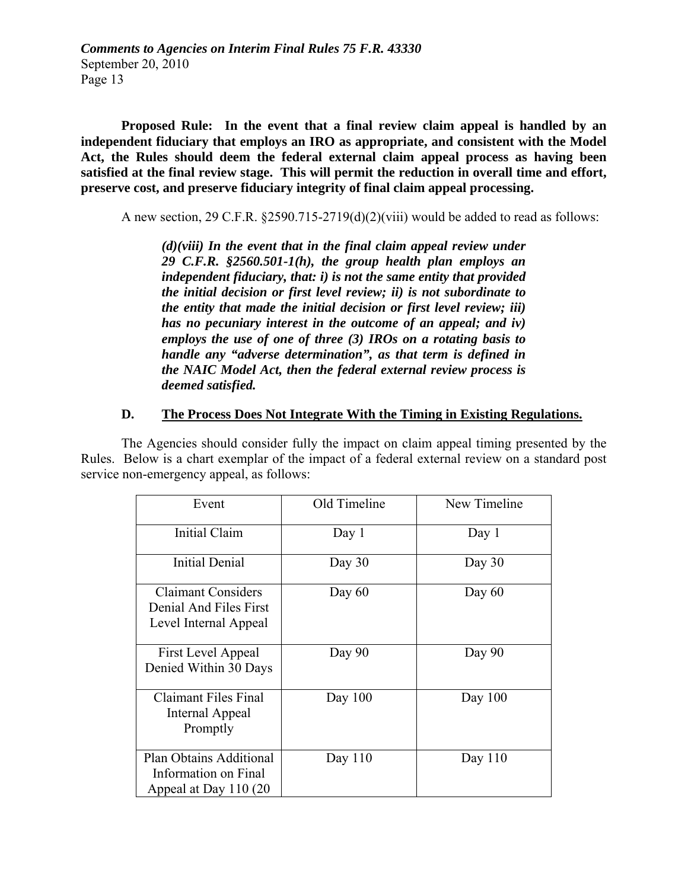**Proposed Rule: In the event that a final review claim appeal is handled by an independent fiduciary that employs an IRO as appropriate, and consistent with the Model Act, the Rules should deem the federal external claim appeal process as having been satisfied at the final review stage. This will permit the reduction in overall time and effort, preserve cost, and preserve fiduciary integrity of final claim appeal processing.** 

A new section, 29 C.F.R. §2590.715-2719(d)(2)(viii) would be added to read as follows:

*(d)(viii) In the event that in the final claim appeal review under 29 C.F.R. §2560.501-1(h), the group health plan employs an independent fiduciary, that: i) is not the same entity that provided the initial decision or first level review; ii) is not subordinate to the entity that made the initial decision or first level review; iii) has no pecuniary interest in the outcome of an appeal; and iv) employs the use of one of three (3) IROs on a rotating basis to handle any "adverse determination", as that term is defined in the NAIC Model Act, then the federal external review process is deemed satisfied.*

### **D. The Process Does Not Integrate With the Timing in Existing Regulations.**

The Agencies should consider fully the impact on claim appeal timing presented by the Rules. Below is a chart exemplar of the impact of a federal external review on a standard post service non-emergency appeal, as follows:

| Event                                                                        | Old Timeline | New Timeline |
|------------------------------------------------------------------------------|--------------|--------------|
| Initial Claim                                                                | Day $1$      | Day 1        |
| <b>Initial Denial</b>                                                        | Day $30$     | Day $30$     |
| <b>Claimant Considers</b><br>Denial And Files First<br>Level Internal Appeal | Day $60$     | Day $60$     |
| First Level Appeal<br>Denied Within 30 Days                                  | Day 90       | Day 90       |
| Claimant Files Final<br>Internal Appeal<br>Promptly                          | Day $100$    | Day $100$    |
| Plan Obtains Additional<br>Information on Final<br>Appeal at Day 110 (20     | Day $110$    | Day $110$    |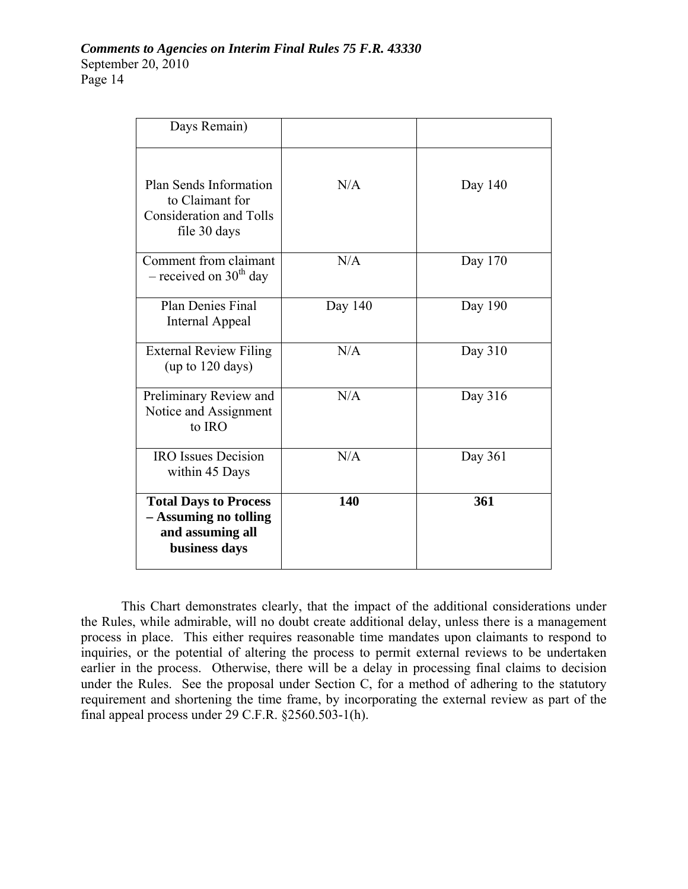| Days Remain)                                                                                |         |         |
|---------------------------------------------------------------------------------------------|---------|---------|
| Plan Sends Information<br>to Claimant for<br><b>Consideration and Tolls</b><br>file 30 days | N/A     | Day 140 |
| Comment from claimant<br>$-$ received on 30 <sup>th</sup> day                               | N/A     | Day 170 |
| <b>Plan Denies Final</b><br><b>Internal Appeal</b>                                          | Day 140 | Day 190 |
| <b>External Review Filing</b><br>(up to $120$ days)                                         | N/A     | Day 310 |
| Preliminary Review and<br>Notice and Assignment<br>to IRO                                   | N/A     | Day 316 |
| <b>IRO</b> Issues Decision<br>within 45 Days                                                | N/A     | Day 361 |
| <b>Total Days to Process</b><br>- Assuming no tolling<br>and assuming all<br>business days  | 140     | 361     |

This Chart demonstrates clearly, that the impact of the additional considerations under the Rules, while admirable, will no doubt create additional delay, unless there is a management process in place. This either requires reasonable time mandates upon claimants to respond to inquiries, or the potential of altering the process to permit external reviews to be undertaken earlier in the process. Otherwise, there will be a delay in processing final claims to decision under the Rules. See the proposal under Section C, for a method of adhering to the statutory requirement and shortening the time frame, by incorporating the external review as part of the final appeal process under 29 C.F.R. §2560.503-1(h).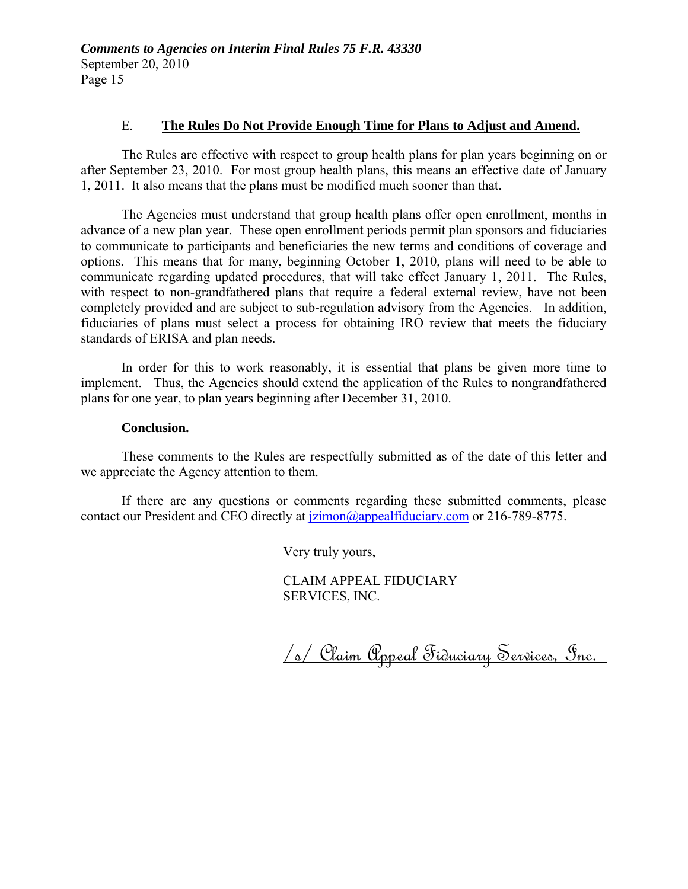#### E. **The Rules Do Not Provide Enough Time for Plans to Adjust and Amend.**

The Rules are effective with respect to group health plans for plan years beginning on or after September 23, 2010. For most group health plans, this means an effective date of January 1, 2011. It also means that the plans must be modified much sooner than that.

The Agencies must understand that group health plans offer open enrollment, months in advance of a new plan year. These open enrollment periods permit plan sponsors and fiduciaries to communicate to participants and beneficiaries the new terms and conditions of coverage and options. This means that for many, beginning October 1, 2010, plans will need to be able to communicate regarding updated procedures, that will take effect January 1, 2011. The Rules, with respect to non-grandfathered plans that require a federal external review, have not been completely provided and are subject to sub-regulation advisory from the Agencies. In addition, fiduciaries of plans must select a process for obtaining IRO review that meets the fiduciary standards of ERISA and plan needs.

In order for this to work reasonably, it is essential that plans be given more time to implement. Thus, the Agencies should extend the application of the Rules to nongrandfathered plans for one year, to plan years beginning after December 31, 2010.

#### **Conclusion.**

These comments to the Rules are respectfully submitted as of the date of this letter and we appreciate the Agency attention to them.

If there are any questions or comments regarding these submitted comments, please contact our President and CEO directly at  $\frac{1}{2}$  imon $\frac{1}{2}$  appealfiduciary.com or 216-789-8775.

Very truly yours,

CLAIM APPEAL FIDUCIARY SERVICES, INC.

/s/ Claim Appeal Fiduciary Services, Inc.